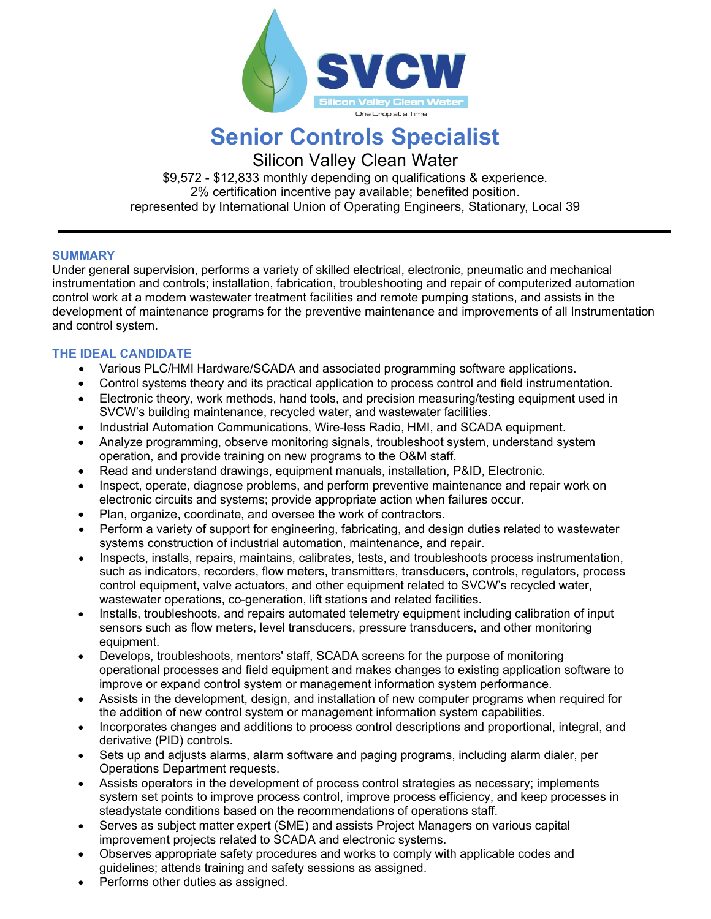

# **Senior Controls Specialist**

Silicon Valley Clean Water

\$9,572 - \$12,833 monthly depending on qualifications & experience. 2% certification incentive pay available; benefited position. represented by International Union of Operating Engineers, Stationary, Local 39

### **SUMMARY**

Under general supervision, performs a variety of skilled electrical, electronic, pneumatic and mechanical instrumentation and controls; installation, fabrication, troubleshooting and repair of computerized automation control work at a modern wastewater treatment facilities and remote pumping stations, and assists in the development of maintenance programs for the preventive maintenance and improvements of all Instrumentation and control system.

## **THE IDEAL CANDIDATE**

- Various PLC/HMI Hardware/SCADA and associated programming software applications.
- Control systems theory and its practical application to process control and field instrumentation.
- Electronic theory, work methods, hand tools, and precision measuring/testing equipment used in SVCW's building maintenance, recycled water, and wastewater facilities.
- Industrial Automation Communications, Wire-less Radio, HMI, and SCADA equipment.
- Analyze programming, observe monitoring signals, troubleshoot system, understand system operation, and provide training on new programs to the O&M staff.
- Read and understand drawings, equipment manuals, installation, P&ID, Electronic.
- Inspect, operate, diagnose problems, and perform preventive maintenance and repair work on electronic circuits and systems; provide appropriate action when failures occur.
- Plan, organize, coordinate, and oversee the work of contractors.
- Perform a variety of support for engineering, fabricating, and design duties related to wastewater systems construction of industrial automation, maintenance, and repair.
- Inspects, installs, repairs, maintains, calibrates, tests, and troubleshoots process instrumentation, such as indicators, recorders, flow meters, transmitters, transducers, controls, regulators, process control equipment, valve actuators, and other equipment related to SVCW's recycled water, wastewater operations, co-generation, lift stations and related facilities.
- Installs, troubleshoots, and repairs automated telemetry equipment including calibration of input sensors such as flow meters, level transducers, pressure transducers, and other monitoring equipment.
- Develops, troubleshoots, mentors' staff, SCADA screens for the purpose of monitoring operational processes and field equipment and makes changes to existing application software to improve or expand control system or management information system performance.
- Assists in the development, design, and installation of new computer programs when required for the addition of new control system or management information system capabilities.
- Incorporates changes and additions to process control descriptions and proportional, integral, and derivative (PID) controls.
- Sets up and adjusts alarms, alarm software and paging programs, including alarm dialer, per Operations Department requests.
- Assists operators in the development of process control strategies as necessary; implements system set points to improve process control, improve process efficiency, and keep processes in steadystate conditions based on the recommendations of operations staff.
- Serves as subject matter expert (SME) and assists Project Managers on various capital improvement projects related to SCADA and electronic systems.
- Observes appropriate safety procedures and works to comply with applicable codes and guidelines; attends training and safety sessions as assigned.
- Performs other duties as assigned.